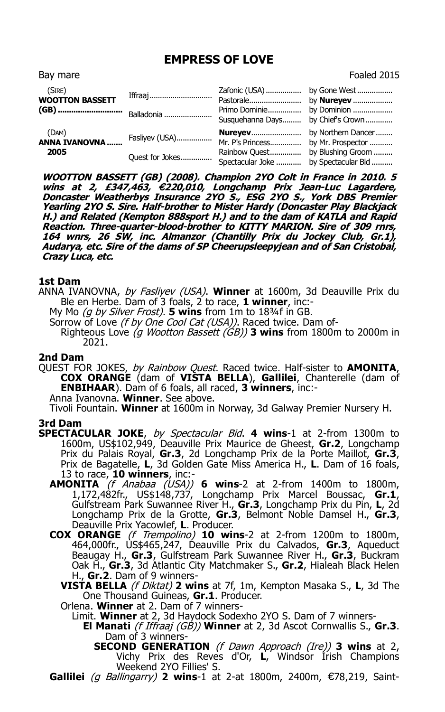## **EMPRESS OF LOVE**

| Bay mare                         |                 |                                    | Foaled 2015                             |
|----------------------------------|-----------------|------------------------------------|-----------------------------------------|
| (SIRE)<br><b>WOOTTON BASSETT</b> | Iffraaj         | Pastorale                          | by <b>Nureyev</b>                       |
|                                  |                 | Primo Dominie<br>Susquehanna Days  | by Dominion<br>by Chief's Crown         |
| (DAM)<br>ANNA IVANOVNA<br>2005   | Fasliyev (USA)  | <b>Nureyev</b><br>Mr. P's Princess | by Northern Dancer<br>by Mr. Prospector |
|                                  | Quest for Jokes | Rainbow Quest<br>Spectacular Joke  | by Blushing Groom<br>by Spectacular Bid |

**WOOTTON BASSETT (GB) (2008). Champion 2YO Colt in France in 2010. 5 wins at 2, £347,463,** €**220,010, Longchamp Prix Jean-Luc Lagardere, Doncaster Weatherbys Insurance 2YO S., ESG 2YO S., York DBS Premier Yearling 2YO S. Sire. Half-brother to Mister Hardy (Doncaster Play Blackjack H.) and Related (Kempton 888sport H.) and to the dam of KATLA and Rapid Reaction. Three-quarter-blood-brother to KITTY MARION. Sire of 309 rnrs, 164 wnrs, 26 SW, inc. Almanzor (Chantilly Prix du Jockey Club, Gr.1), Audarya, etc. Sire of the dams of SP Cheerupsleepyjean and of San Cristobal, Crazy Luca, etc.**

## **1st Dam**

- ANNA IVANOVNA, by Fasliyev (USA). **Winner** at 1600m, 3d Deauville Prix du Ble en Herbe. Dam of 3 foals, 2 to race, **1 winner**, inc:-
	- My Mo (g by Silver Frost). **5 wins** from 1m to 18¾f in GB.
	- Sorrow of Love (f by One Cool Cat (USA)). Raced twice. Dam of-
		- Righteous Love (g Wootton Bassett (GB)) **3 wins** from 1800m to 2000m in 2021.

## **2nd Dam**

QUEST FOR JOKES, by Rainbow Quest. Raced twice. Half-sister to **AMONITA**, **COX ORANGE** (dam of **VISTA BELLA**), **Gallilei**, Chanterelle (dam of **ENBIHAAR**). Dam of 6 foals, all raced, **3 winners**, inc:-

Anna Ivanovna. **Winner**. See above.

Tivoli Fountain. **Winner** at 1600m in Norway, 3d Galway Premier Nursery H.

## **3rd Dam**

- **SPECTACULAR JOKE**, by Spectacular Bid. **4 wins**-1 at 2-from 1300m to 1600m, US\$102,949, Deauville Prix Maurice de Gheest, **Gr.2**, Longchamp Prix du Palais Royal, **Gr.3**, 2d Longchamp Prix de la Porte Maillot, **Gr.3**, Prix de Bagatelle, **L**, 3d Golden Gate Miss America H., **L**. Dam of 16 foals, 13 to race, **10 winners**, inc:-
	- **AMONITA** (f Anabaa (USA)) **6 wins**-2 at 2-from 1400m to 1800m, 1,172,482fr., US\$148,737, Longchamp Prix Marcel Boussac, **Gr.1**, Gulfstream Park Suwannee River H., **Gr.3**, Longchamp Prix du Pin, **L**, 2d Longchamp Prix de la Grotte, **Gr.3**, Belmont Noble Damsel H., **Gr.3**, Deauville Prix Yacowlef, **L**. Producer.
	- **COX ORANGE** (f Trempolino) **10 wins**-2 at 2-from 1200m to 1800m, 464,000fr., US\$465,247, Deauville Prix du Calvados, **Gr.3**, Aqueduct Beaugay H., **Gr.3**, Gulfstream Park Suwannee River H., **Gr.3**, Buckram Oak H., **Gr.3**, 3d Atlantic City Matchmaker S., **Gr.2**, Hialeah Black Helen H., **Gr.2**. Dam of 9 winners-
		- **VISTA BELLA** (f Diktat) **2 wins** at 7f, 1m, Kempton Masaka S., **L**, 3d The One Thousand Guineas, **Gr.1**. Producer.

Orlena. **Winner** at 2. Dam of 7 winners-

- Limit. **Winner** at 2, 3d Haydock Sodexho 2YO S. Dam of 7 winners-
	- **El Manati** (f Iffraaj (GB)) **Winner** at 2, 3d Ascot Cornwallis S., **Gr.3**. Dam of 3 winners-
		- **SECOND GENERATION** (f Dawn Approach (Ire)) **3 wins** at 2, Vichy Prix des Reves d'Or, **L**, Windsor Irish Champions Weekend 2YO Fillies' S.
- Gallilei (g Ballingarry) 2 wins-1 at 2-at 1800m, 2400m, €78,219, Saint-